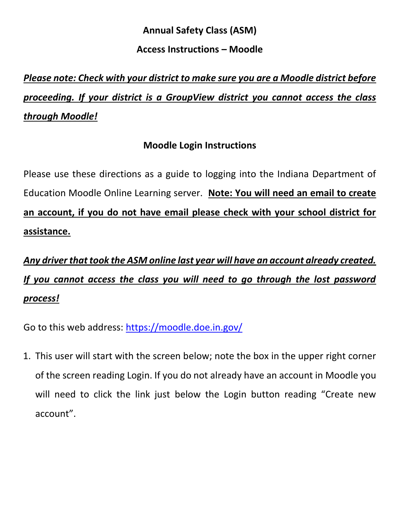### **Annual Safety Class (ASM)**

### **Access Instructions – Moodle**

# *Please note: Check with your district to make sure you are a Moodle district before proceeding. If your district is a GroupView district you cannot access the class through Moodle!*

# **Moodle Login Instructions**

Please use these directions as a guide to logging into the Indiana Department of Education Moodle Online Learning server. **Note: You will need an email to create an account, if you do not have email please check with your school district for assistance.**

# *Any driver that took the ASM online last year will have an account already created. If you cannot access the class you will need to go through the lost password process!*

Go to this web address: <https://moodle.doe.in.gov/>

1. This user will start with the screen below; note the box in the upper right corner of the screen reading Login. If you do not already have an account in Moodle you will need to click the link just below the Login button reading "Create new account".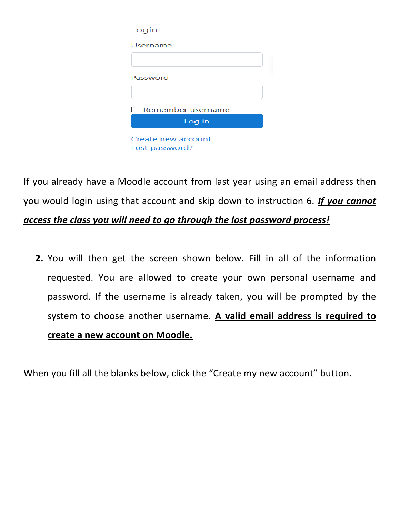| Login              |
|--------------------|
| Username           |
|                    |
| Password           |
|                    |
|                    |
| Remember username  |
| Log in             |
| Create new account |
| Lost password?     |

If you already have a Moodle account from last year using an email address then you would login using that account and skip down to instruction 6. *If you cannot access the class you will need to go through the lost password process!*

**2.** You will then get the screen shown below. Fill in all of the information requested. You are allowed to create your own personal username and password. If the username is already taken, you will be prompted by the system to choose another username. **A valid email address is required to create a new account on Moodle.**

When you fill all the blanks below, click the "Create my new account" button.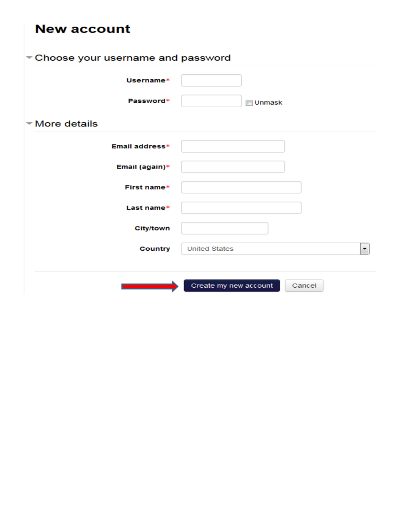| <b>New account</b>                       |                                 |  |  |  |
|------------------------------------------|---------------------------------|--|--|--|
| $\sim$ Choose your username and password |                                 |  |  |  |
| Username*                                |                                 |  |  |  |
| Password*                                | <b>Unmask</b>                   |  |  |  |
| $\blacktriangleright$ More details       |                                 |  |  |  |
| Email address*                           |                                 |  |  |  |
| Email (again)*                           |                                 |  |  |  |
| First name*                              |                                 |  |  |  |
| Last name*                               |                                 |  |  |  |
| <b>City/town</b>                         |                                 |  |  |  |
| <b>Country</b>                           | <b>United States</b><br>▼       |  |  |  |
|                                          | Create my new account<br>Cancel |  |  |  |
|                                          |                                 |  |  |  |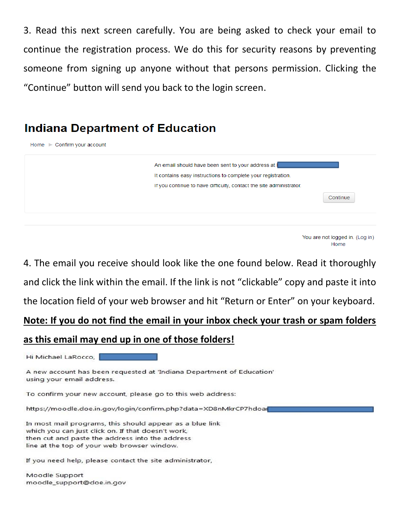3. Read this next screen carefully. You are being asked to check your email to continue the registration process. We do this for security reasons by preventing someone from signing up anyone without that persons permission. Clicking the "Continue" button will send you back to the login screen.

# **Indiana Department of Education**



You are not logged in. (Log in) Home

4. The email you receive should look like the one found below. Read it thoroughly and click the link within the email. If the link is not "clickable" copy and paste it into the location field of your web browser and hit "Return or Enter" on your keyboard.

# **Note: If you do not find the email in your inbox check your trash or spam folders**

### **as this email may end up in one of those folders!**

Hi Michael LaRocco,

A new account has been requested at 'Indiana Department of Education' using your email address.

To confirm your new account, please go to this web address:

https://moodle.doe.in.gov/login/confirm.php?data=XD8nMkrCP7hdoal

In most mail programs, this should appear as a blue link which you can just click on. If that doesn't work, then cut and paste the address into the address line at the top of your web browser window.

If you need help, please contact the site administrator,

Moodle Support moodle\_support@doe.in.gov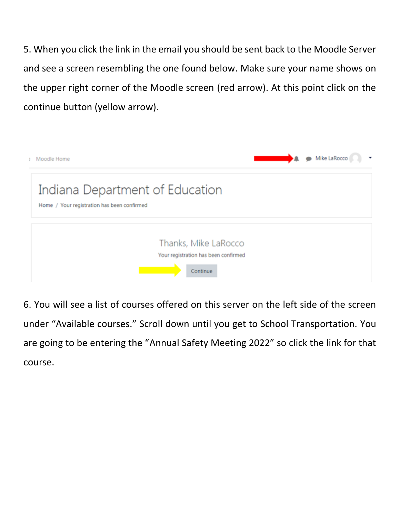5. When you click the link in the email you should be sent back to the Moodle Server and see a screen resembling the one found below. Make sure your name shows on the upper right corner of the Moodle screen (red arrow). At this point click on the continue button (yellow arrow).



6. You will see a list of courses offered on this server on the left side of the screen under "Available courses." Scroll down until you get to School Transportation. You are going to be entering the "Annual Safety Meeting 2022" so click the link for that course.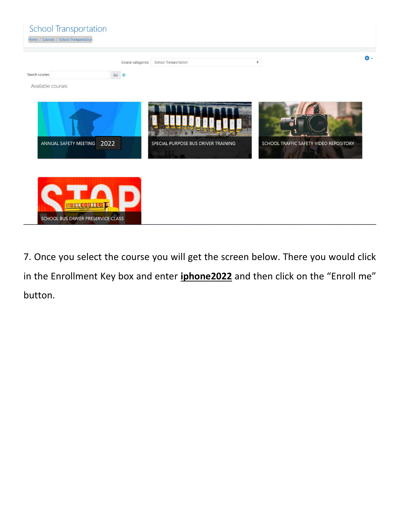| <b>School Transportation</b><br>Home / Courses / School Transportation |                                    |                                     |                                        |    |
|------------------------------------------------------------------------|------------------------------------|-------------------------------------|----------------------------------------|----|
| Search courses<br>Available courses                                    | Course categories:<br>Go $\bullet$ | <b>School Transportation</b>        | $\hat{\mathbf{v}}$                     | а. |
| 2022<br>ANNUAL SAFETY MEETING                                          |                                    | SPECIAL PURPOSE BUS DRIVER TRAINING | SCHOOL TRAFFIC SAFETY VIDEO REPOSITORY |    |
| <b>NEQUES BRIDE</b><br>SCHOOL BUS DRIVER PRESERVICE CLASS              |                                    |                                     |                                        |    |

7. Once you select the course you will get the screen below. There you would click in the Enrollment Key box and enter **iphone2022** and then click on the "Enroll me" button.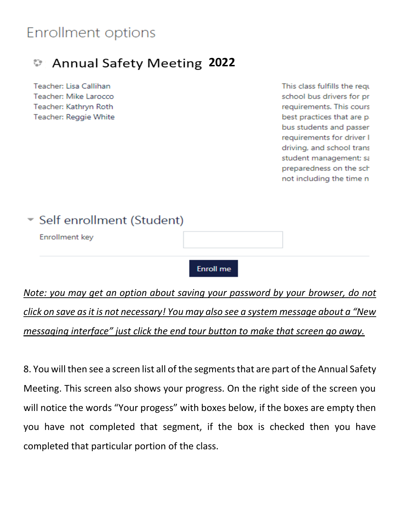# **Enrollment options**

#### **2022**ಲ

Teacher: Lisa Callihan Teacher: Mike Larocco Teacher: Kathryn Roth **Teacher: Reggie White** 

This class fulfills the requ school bus drivers for pr requirements. This cours best practices that are p. bus students and passer requirements for driver I driving, and school trans student management; sa preparedness on the sch not including the time n

# \* Self enrollment (Student)

**Enrollment key** 

**Enroll** me

*Note: you may get an option about saving your password by your browser, do not click on save as it is not necessary! You may also see a system message about a "New messaging interface" just click the end tour button to make that screen go away.*

8. You will then see a screen list all of the segments that are part of the Annual Safety Meeting. This screen also shows your progress. On the right side of the screen you will notice the words "Your progess" with boxes below, if the boxes are empty then you have not completed that segment, if the box is checked then you have completed that particular portion of the class.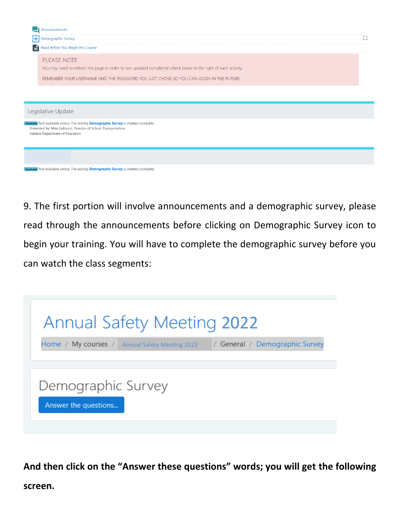| Announcements                                                                                                                                        |  |
|------------------------------------------------------------------------------------------------------------------------------------------------------|--|
| $\rightarrow$ Demographic Survey                                                                                                                     |  |
| Read Before You Begin this Course                                                                                                                    |  |
| PLEASE NOTE                                                                                                                                          |  |
| You may need to refresh this page in order to see updated completion check boxes to the right of each activity.                                      |  |
| REMEMBER YOUR USERNAME AND THE PASSWORD YOU JUST CHOSE SO YOU CAN LOGIN IN THE FUTURE.                                                               |  |
|                                                                                                                                                      |  |
|                                                                                                                                                      |  |
|                                                                                                                                                      |  |
| Legislative Update                                                                                                                                   |  |
| Restricted Not available unless: The activity Demographic Survey is marked complete<br>Presented by: Mike LaRocco, Director of School Transportation |  |
| Indiana Department of Education                                                                                                                      |  |
|                                                                                                                                                      |  |
|                                                                                                                                                      |  |
|                                                                                                                                                      |  |
| Restricted Not available unless: The activity <b>Demographic Survey</b> is marked complete                                                           |  |

9. The first portion will involve announcements and a demographic survey, please read through the announcements before clicking on Demographic Survey icon to begin your training. You will have to complete the demographic survey before you can watch the class segments:



**And then click on the "Answer these questions" words; you will get the following screen.**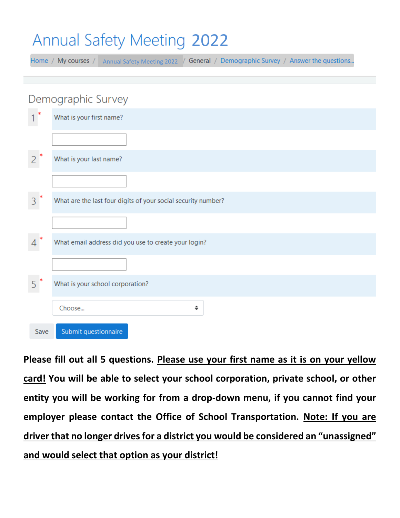# **Annual Safety Meeting 2022**

Home / My courses / Annual Safety Meeting 2022 / General / Demographic Survey / Answer the questions...

|      | Demographic Survey                                            |
|------|---------------------------------------------------------------|
|      | What is your first name?                                      |
|      |                                                               |
|      | What is your last name?                                       |
|      |                                                               |
| 3    | What are the last four digits of your social security number? |
|      |                                                               |
|      | What email address did you use to create your login?          |
|      |                                                               |
|      | What is your school corporation?                              |
|      | ÷<br>Choose                                                   |
| Save | Submit questionnaire                                          |

**Please fill out all 5 questions. Please use your first name as it is on your yellow card! You will be able to select your school corporation, private school, or other entity you will be working for from a drop-down menu, if you cannot find your employer please contact the Office of School Transportation. Note: If you are driver that no longer drives for a district you would be considered an "unassigned" and would select that option as your district!**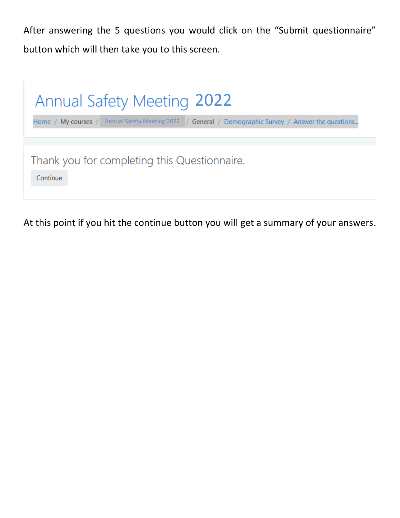After answering the 5 questions you would click on the "Submit questionnaire" button which will then take you to this screen.



At this point if you hit the continue button you will get a summary of your answers.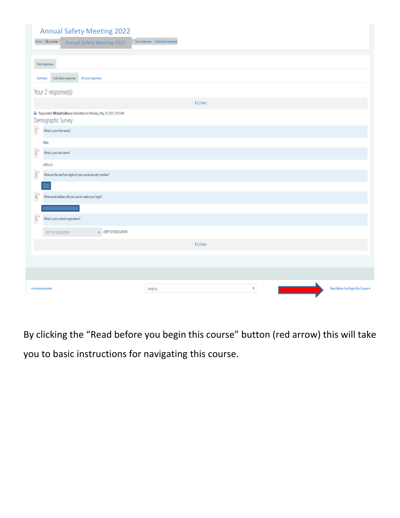| <b>Annual Safety Meeting 2022</b><br>Home / My courses<br><b>Annual Safety Meeting 2022</b> | Your responses / Individual responses |                                     |
|---------------------------------------------------------------------------------------------|---------------------------------------|-------------------------------------|
| <b>Your responses</b>                                                                       |                                       |                                     |
| Individual suponses<br>Allyournepenses<br>Summary                                           |                                       |                                     |
| Your 2 response(s)                                                                          |                                       |                                     |
|                                                                                             | 1121 Next                             |                                     |
| Respondent: Michael LaRocco Submitted on Monday, May 10, 2021, 935 AM<br>Demographic Survey |                                       |                                     |
| $\mathbf{1}^{\prime}$<br>What is your first name?                                           |                                       |                                     |
| Mit                                                                                         |                                       |                                     |
| $\overline{c}$<br>What is your last name?                                                   |                                       |                                     |
| LaRocco                                                                                     |                                       |                                     |
| $\mathbf{3}^{\bullet}$<br>What are the let four digits of your social security number?      |                                       |                                     |
|                                                                                             |                                       |                                     |
| $\frac{1}{2}$<br>What email address did you use to create your login?                       |                                       |                                     |
|                                                                                             |                                       |                                     |
| $\mathsf{S}^*$<br>What is your school corporation?                                          |                                       |                                     |
| 0 I DEPT OF EDUCATION<br>DEPT OF EDUCATION                                                  |                                       |                                     |
|                                                                                             | $1 2 $ Next                           |                                     |
|                                                                                             |                                       |                                     |
|                                                                                             |                                       |                                     |
| -Announcements                                                                              | $\ddot{\phantom{a}}$<br>Jump to       | Read Before You Begin this Course = |

By clicking the "Read before you begin this course" button (red arrow) this will take you to basic instructions for navigating this course.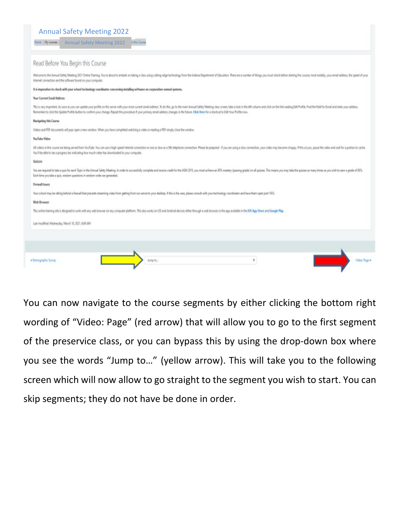#### Annual Safety Meeting 2022

**Annual Safety Meeting 2022** 

#### Read Before You Begin this Course

Welcome to the Annual Safety Meeting 2021 Online Taining. You're about to embalk on taking a cleas using cutting edge technology from the Indiana Department of Elucation. There are a number of Hings you must check before s internet connection and the software found on your computer.

#### ative to check with your school technology coordinator concerning installing software on corporation-owned syst

#### Your Current Email Address

This is very important. As soon as you can update your prefile on this sener whill your meet current email address. To do this, go to the main Amoust Suffey Meeting duos screen, take a look in the left column and click on fementer to clock the Update Profile button to continn your change. Repeat this procedure if your primary email address changes in the future. Click litere for a shortcul to Edit Your Profile now

#### Navigating this Course

Videos and PDF-documents will pop-open a new window. When you have completed watching a video or reading a PDF simply close the window

#### **YouTube Video**

All videos in this course are being served from YouTube. You can use a Naph-speed interior connection or one as slow as a 50k telephone connection. Please be prepared - if you are using a sinw connection, your video may be You'll be able to see a progress bar indicating how much video has downloaded to your computer.

#### Padrias

You are required to take a quichir each Topic in the Amual Safety Meeting. In order to successfully complets and receive credit for the ASM 2011, you must achieve an III's mastery (passing pada) on all quizes. This means y Each time you take a quic, sendors questions in sendom order are generated.

#### **Firewall hours**

Your school may be sitting behind a feweal that prevents streaming video from gatting from our server to your desitop. If this is the case, please consult with your bechrolingy coordinator and have them open part 1935.

#### Web Browser

| vodified: Wednesday, March 10, 2021, 8:49 AM | o the KJ's Ayu 31stee and two gae Flay. |               |
|----------------------------------------------|-----------------------------------------|---------------|
|                                              |                                         |               |
| -Denographic Survey<br>Line to               |                                         | Video: Page H |

You can now navigate to the course segments by either clicking the bottom right wording of "Video: Page" (red arrow) that will allow you to go to the first segment of the preservice class, or you can bypass this by using the drop-down box where you see the words "Jump to…" (yellow arrow). This will take you to the following screen which will now allow to go straight to the segment you wish to start. You can skip segments; they do not have be done in order.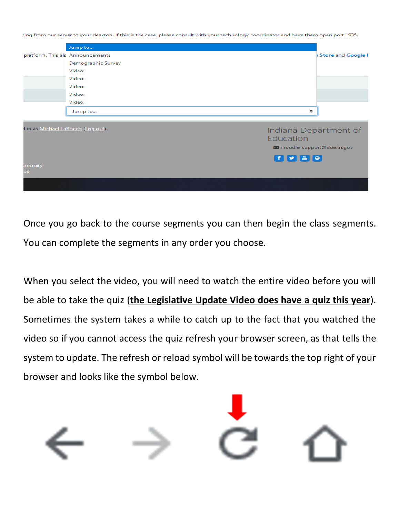ting from our server to your desktop. If this is the case, please consult with your technology coordinator and have them open port 1935.

|                                   | Jump to                          |                           |
|-----------------------------------|----------------------------------|---------------------------|
|                                   | platform. This als Announcements | <b>Store and Google F</b> |
|                                   | Demographic Survey               |                           |
|                                   | Video:                           |                           |
|                                   | Video:                           |                           |
|                                   | Video:                           |                           |
|                                   | Video:                           |                           |
|                                   | Video:                           |                           |
|                                   | ÷<br>Jump to                     |                           |
|                                   |                                  |                           |
|                                   |                                  |                           |
| I in as Michael LaRocco (Log out) | Indiana Department of            |                           |
|                                   | Education                        |                           |
|                                   | moodle_support@doe.in.gov        |                           |
|                                   | F 9 8 9                          |                           |
| <i><b>immary</b></i>              |                                  |                           |
| pp                                |                                  |                           |
|                                   |                                  |                           |

Once you go back to the course segments you can then begin the class segments. You can complete the segments in any order you choose.

When you select the video, you will need to watch the entire video before you will be able to take the quiz (**the Legislative Update Video does have a quiz this year**). Sometimes the system takes a while to catch up to the fact that you watched the video so if you cannot access the quiz refresh your browser screen, as that tells the system to update. The refresh or reload symbol will be towards the top right of your browser and looks like the symbol below.

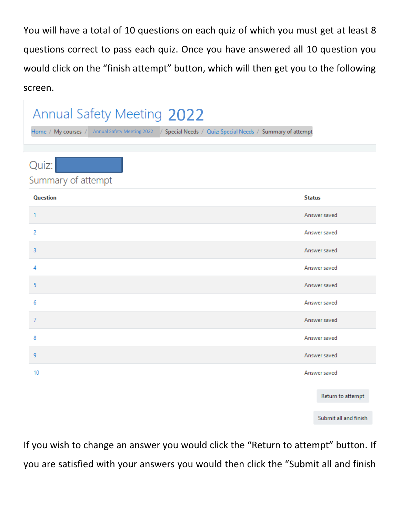You will have a total of 10 questions on each quiz of which you must get at least 8 questions correct to pass each quiz. Once you have answered all 10 question you would click on the "finish attempt" button, which will then get you to the following screen.

### **Annual Safety Meeting 2022** Home / My courses / Annual Safety Meeting 2022 / Special Needs / Quiz: Special Needs / Summary of attempt Quiz: Summary of attempt **Question Status**  $\mathbf{1}$ Answer saved  $\overline{c}$ Answer saved 3 Answer saved 4 Answer saved 5 Answer saved 6 Answer saved  $\overline{7}$ Answer saved 8 Answer saved 9 Answer saved 10 Answer saved

Return to attempt

Submit all and finish

If you wish to change an answer you would click the "Return to attempt" button. If you are satisfied with your answers you would then click the "Submit all and finish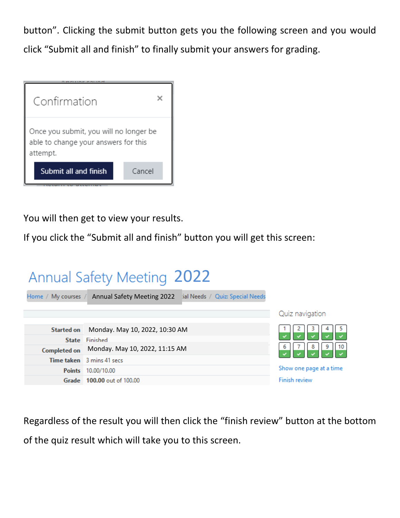button". Clicking the submit button gets you the following screen and you would click "Submit all and finish" to finally submit your answers for grading.



You will then get to view your results.

If you click the "Submit all and finish" button you will get this screen:



Regardless of the result you will then click the "finish review" button at the bottom of the quiz result which will take you to this screen.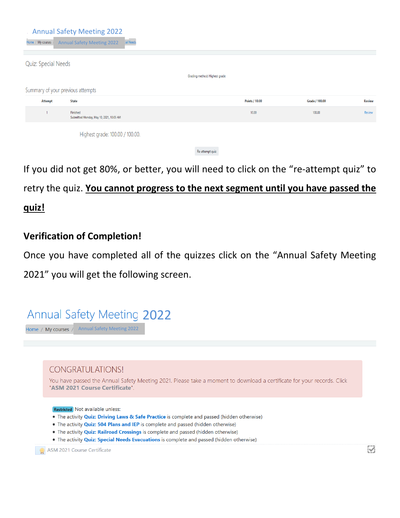| Home / My courses   | <b>Annual Safety Meeting 2022</b><br>tial Needs<br><b>Annual Safety Meeting 2022</b> |                               |                       |                |               |
|---------------------|--------------------------------------------------------------------------------------|-------------------------------|-----------------------|----------------|---------------|
| Quiz: Special Needs |                                                                                      | Grading method: Highest grade |                       |                |               |
|                     |                                                                                      |                               |                       |                |               |
|                     | Summary of your previous attempts                                                    |                               |                       |                |               |
| <b>Attempt</b>      | <b>State</b>                                                                         |                               | <b>Points / 10.00</b> | Grade / 100.00 | <b>Review</b> |
|                     | Finished<br>Submitted Monday, May 10, 2021, 10:05 AM                                 |                               | 10.00                 | 100.00         | Review        |
|                     | Highest grade: 100.00 / 100.00.                                                      |                               |                       |                |               |
|                     |                                                                                      | Re-attempt quiz               |                       |                |               |

If you did not get 80%, or better, you will need to click on the "re-attempt quiz" to

# retry the quiz. **You cannot progress to the next segment until you have passed the quiz!**

# **Verification of Completion!**

Once you have completed all of the quizzes click on the "Annual Safety Meeting 2021" you will get the following screen.



. The activity Quiz: Special Needs Evacuations is complete and passed (hidden otherwise)

ASM 2021 Course Certificate